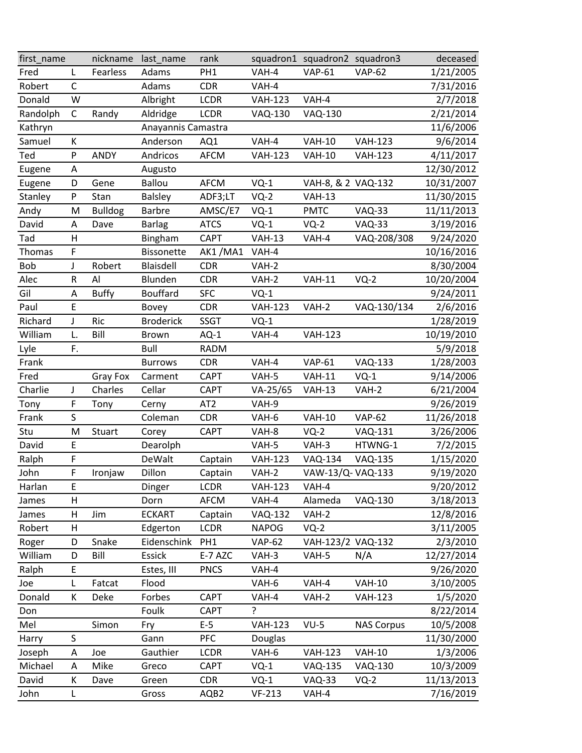| first_name |              | nickname       | last_name          | rank            |                | squadron1 squadron2 squadron3 |                   | deceased   |
|------------|--------------|----------------|--------------------|-----------------|----------------|-------------------------------|-------------------|------------|
| Fred       | L            | Fearless       | Adams              | PH <sub>1</sub> | VAH-4          | <b>VAP-61</b>                 | <b>VAP-62</b>     | 1/21/2005  |
| Robert     | $\mathsf C$  |                | Adams              | <b>CDR</b>      | VAH-4          |                               |                   | 7/31/2016  |
| Donald     | W            |                | Albright           | <b>LCDR</b>     | <b>VAH-123</b> | VAH-4                         |                   | 2/7/2018   |
| Randolph   | $\mathsf{C}$ | Randy          | Aldridge           | <b>LCDR</b>     | <b>VAQ-130</b> | <b>VAQ-130</b>                |                   | 2/21/2014  |
| Kathryn    |              |                | Anayannis Camastra |                 |                |                               |                   | 11/6/2006  |
| Samuel     | К            |                | Anderson           | AQ1             | VAH-4          | <b>VAH-10</b>                 | <b>VAH-123</b>    | 9/6/2014   |
| Ted        | P            | <b>ANDY</b>    | Andricos           | <b>AFCM</b>     | <b>VAH-123</b> | <b>VAH-10</b>                 | <b>VAH-123</b>    | 4/11/2017  |
| Eugene     | A            |                | Augusto            |                 |                |                               |                   | 12/30/2012 |
| Eugene     | D            | Gene           | <b>Ballou</b>      | <b>AFCM</b>     | $VQ-1$         | VAH-8, & 2 VAQ-132            |                   | 10/31/2007 |
| Stanley    | P            | Stan           | <b>Balsley</b>     | ADF3;LT         | $VQ-2$         | <b>VAH-13</b>                 |                   | 11/30/2015 |
| Andy       | M            | <b>Bulldog</b> | <b>Barbre</b>      | AMSC/E7         | $VQ-1$         | <b>PMTC</b>                   | <b>VAQ-33</b>     | 11/11/2013 |
| David      | Α            | Dave           | <b>Barlag</b>      | <b>ATCS</b>     | $VQ-1$         | $VQ-2$                        | <b>VAQ-33</b>     | 3/19/2016  |
| Tad        | H            |                | Bingham            | <b>CAPT</b>     | <b>VAH-13</b>  | VAH-4                         | VAQ-208/308       | 9/24/2020  |
| Thomas     | F            |                | <b>Bissonette</b>  | AK1/MA1         | VAH-4          |                               |                   | 10/16/2016 |
| Bob        | J            | Robert         | Blaisdell          | <b>CDR</b>      | VAH-2          |                               |                   | 8/30/2004  |
| Alec       | R            | Al             | Blunden            | <b>CDR</b>      | VAH-2          | <b>VAH-11</b>                 | $VQ-2$            | 10/20/2004 |
| Gil        | A            | <b>Buffy</b>   | <b>Bouffard</b>    | <b>SFC</b>      | $VQ-1$         |                               |                   | 9/24/2011  |
| Paul       | E            |                | Bovey              | <b>CDR</b>      | <b>VAH-123</b> | VAH-2                         | VAQ-130/134       | 2/6/2016   |
| Richard    | J            | Ric            | <b>Broderick</b>   | <b>SSGT</b>     | $VQ-1$         |                               |                   | 1/28/2019  |
| William    | L.           | Bill           | <b>Brown</b>       | $AQ-1$          | VAH-4          | <b>VAH-123</b>                |                   | 10/19/2010 |
| Lyle       | F.           |                | Bull               | <b>RADM</b>     |                |                               |                   | 5/9/2018   |
| Frank      |              |                | <b>Burrows</b>     | <b>CDR</b>      | VAH-4          | <b>VAP-61</b>                 | <b>VAQ-133</b>    | 1/28/2003  |
| Fred       |              | Gray Fox       | Carment            | <b>CAPT</b>     | VAH-5          | <b>VAH-11</b>                 | $VQ-1$            | 9/14/2006  |
| Charlie    | J            | Charles        | Cellar             | <b>CAPT</b>     | VA-25/65       | <b>VAH-13</b>                 | VAH-2             | 6/21/2004  |
| Tony       | F            | Tony           | Cerny              | AT <sub>2</sub> | VAH-9          |                               |                   | 9/26/2019  |
| Frank      | S            |                | Coleman            | <b>CDR</b>      | VAH-6          | <b>VAH-10</b>                 | <b>VAP-62</b>     | 11/26/2018 |
| Stu        | M            | Stuart         | Corey              | <b>CAPT</b>     | VAH-8          | $VQ-2$                        | <b>VAQ-131</b>    | 3/26/2006  |
| David      | E            |                | Dearolph           |                 | VAH-5          | VAH-3                         | HTWNG-1           | 7/2/2015   |
| Ralph      | F            |                | DeWalt             | Captain         | <b>VAH-123</b> | <b>VAQ-134</b>                | <b>VAQ-135</b>    | 1/15/2020  |
| John       | F            | Ironjaw        | Dillon             | Captain         | VAH-2          | VAW-13/Q-VAQ-133              |                   | 9/19/2020  |
| Harlan     | E            |                | Dinger             | <b>LCDR</b>     | <b>VAH-123</b> | VAH-4                         |                   | 9/20/2012  |
| James      | H            |                | Dorn               | <b>AFCM</b>     | VAH-4          | Alameda                       | <b>VAQ-130</b>    | 3/18/2013  |
| James      | Н            | Jim            | <b>ECKART</b>      | Captain         | <b>VAQ-132</b> | VAH-2                         |                   | 12/8/2016  |
| Robert     | $\mathsf{H}$ |                | Edgerton           | <b>LCDR</b>     | <b>NAPOG</b>   | $VQ-2$                        |                   | 3/11/2005  |
| Roger      | D            | Snake          | Eidenschink        | PH <sub>1</sub> | <b>VAP-62</b>  | VAH-123/2 VAQ-132             |                   | 2/3/2010   |
| William    | D            | Bill           | Essick             | E-7 AZC         | VAH-3          | VAH-5                         | N/A               | 12/27/2014 |
| Ralph      | E            |                | Estes, III         | <b>PNCS</b>     | VAH-4          |                               |                   | 9/26/2020  |
| Joe        | L            | Fatcat         | Flood              |                 | VAH-6          | VAH-4                         | <b>VAH-10</b>     | 3/10/2005  |
| Donald     | К            | Deke           | Forbes             | <b>CAPT</b>     | VAH-4          | VAH-2                         | <b>VAH-123</b>    | 1/5/2020   |
| Don        |              |                | Foulk              | <b>CAPT</b>     | ?              |                               |                   | 8/22/2014  |
| Mel        |              | Simon          | Fry                | $E-5$           | <b>VAH-123</b> | $VU-5$                        | <b>NAS Corpus</b> | 10/5/2008  |
| Harry      | $\sf S$      |                | Gann               | <b>PFC</b>      | Douglas        |                               |                   | 11/30/2000 |
| Joseph     | Α            | Joe            | Gauthier           | <b>LCDR</b>     | VAH-6          | <b>VAH-123</b>                | <b>VAH-10</b>     | 1/3/2006   |
| Michael    | A            | Mike           | Greco              | <b>CAPT</b>     | $VQ-1$         | <b>VAQ-135</b>                | <b>VAQ-130</b>    | 10/3/2009  |
| David      | К            | Dave           | Green              | <b>CDR</b>      | $VQ-1$         | <b>VAQ-33</b>                 | $VQ-2$            | 11/13/2013 |
| John       | L            |                | Gross              | AQB2            | $VF-213$       | VAH-4                         |                   | 7/16/2019  |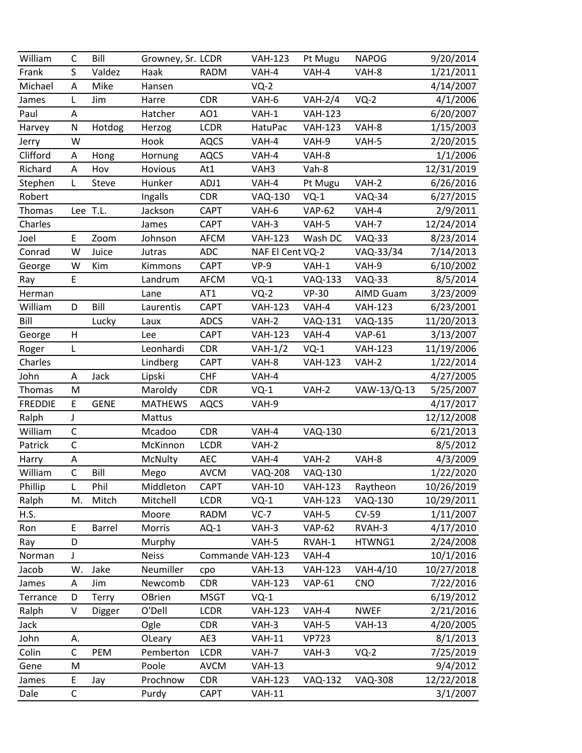| William        | C            | Bill        | Growney, Sr. LCDR |                  | <b>VAH-123</b>   | Pt Mugu        | <b>NAPOG</b>     | 9/20/2014  |
|----------------|--------------|-------------|-------------------|------------------|------------------|----------------|------------------|------------|
| Frank          | S            | Valdez      | Haak              | <b>RADM</b>      | VAH-4            | VAH-4          | VAH-8            | 1/21/2011  |
| Michael        | A            | Mike        | Hansen            |                  | $VQ-2$           |                |                  | 4/14/2007  |
| James          | L            | Jim         | Harre             | <b>CDR</b>       | VAH-6            | $VAH-2/4$      | $VQ-2$           | 4/1/2006   |
| Paul           | A            |             | Hatcher           | AO1              | VAH-1            | <b>VAH-123</b> |                  | 6/20/2007  |
| Harvey         | N            | Hotdog      | Herzog            | <b>LCDR</b>      | HatuPac          | <b>VAH-123</b> | VAH-8            | 1/15/2003  |
| Jerry          | W            |             | Hook              | <b>AQCS</b>      | VAH-4            | VAH-9          | VAH-5            | 2/20/2015  |
| Clifford       | Α            | Hong        | Hornung           | <b>AQCS</b>      | VAH-4            | VAH-8          |                  | 1/1/2006   |
| Richard        | A            | Hov         | Hovious           | At1              | VAH3             | Vah-8          |                  | 12/31/2019 |
| Stephen        | L            | Steve       | Hunker            | ADJ1             | VAH-4            | Pt Mugu        | VAH-2            | 6/26/2016  |
| Robert         |              |             | Ingalls           | <b>CDR</b>       | <b>VAQ-130</b>   | $VQ-1$         | <b>VAQ-34</b>    | 6/27/2015  |
| Thomas         | Lee T.L.     |             | Jackson           | <b>CAPT</b>      | VAH-6            | <b>VAP-62</b>  | VAH-4            | 2/9/2011   |
| Charles        |              |             | James             | <b>CAPT</b>      | VAH-3            | VAH-5          | VAH-7            | 12/24/2014 |
| Joel           | E            | Zoom        | Johnson           | <b>AFCM</b>      | <b>VAH-123</b>   | Wash DC        | <b>VAQ-33</b>    | 8/23/2014  |
| Conrad         | W            | Juice       | Jutras            | <b>ADC</b>       | NAF El Cent VQ-2 |                | VAQ-33/34        | 7/14/2013  |
| George         | W            | Kim         | Kimmons           | <b>CAPT</b>      | $VP-9$           | $VAH-1$        | VAH-9            | 6/10/2002  |
| Ray            | E            |             | Landrum           | <b>AFCM</b>      | $VQ-1$           | <b>VAQ-133</b> | <b>VAQ-33</b>    | 8/5/2014   |
| Herman         |              |             | Lane              | AT1              | $VQ-2$           | <b>VP-30</b>   | <b>AIMD Guam</b> | 3/23/2009  |
| William        | D            | Bill        | Laurentis         | <b>CAPT</b>      | <b>VAH-123</b>   | VAH-4          | <b>VAH-123</b>   | 6/23/2001  |
| Bill           |              | Lucky       | Laux              | <b>ADCS</b>      | VAH-2            | <b>VAQ-131</b> | <b>VAQ-135</b>   | 11/20/2013 |
| George         | Н            |             | Lee               | <b>CAPT</b>      | <b>VAH-123</b>   | VAH-4          | <b>VAP-61</b>    | 3/13/2007  |
| Roger          | L            |             | Leonhardi         | <b>CDR</b>       | $VAH-1/2$        | $VQ-1$         | <b>VAH-123</b>   | 11/19/2006 |
| Charles        |              |             | Lindberg          | <b>CAPT</b>      | VAH-8            | <b>VAH-123</b> | $VAH-2$          | 1/22/2014  |
| John           | Α            | Jack        | Lipski            | <b>CHF</b>       | VAH-4            |                |                  | 4/27/2005  |
| Thomas         | M            |             | Maroldy           | <b>CDR</b>       | $VQ-1$           | VAH-2          | VAW-13/Q-13      | 5/25/2007  |
| <b>FREDDIE</b> | E            | <b>GENE</b> | <b>MATHEWS</b>    | <b>AQCS</b>      | VAH-9            |                |                  | 4/17/2017  |
| Ralph          | J            |             | Mattus            |                  |                  |                |                  | 12/12/2008 |
| William        | $\mathsf C$  |             | Mcadoo            | <b>CDR</b>       | VAH-4            | VAQ-130        |                  | 6/21/2013  |
| Patrick        | $\mathsf{C}$ |             | McKinnon          | <b>LCDR</b>      | VAH-2            |                |                  | 8/5/2012   |
| Harry          | A            |             | McNulty           | <b>AEC</b>       | VAH-4            | VAH-2          | VAH-8            | 4/3/2009   |
| William        | $\mathsf{C}$ | Bill        | Mego              | <b>AVCM</b>      | <b>VAQ-208</b>   | <b>VAQ-130</b> |                  | 1/22/2020  |
| Phillip        | L            | Phil        | Middleton         | <b>CAPT</b>      | <b>VAH-10</b>    | <b>VAH-123</b> | Raytheon         | 10/26/2019 |
| Ralph          | M.           | Mitch       | Mitchell          | <b>LCDR</b>      | $VQ-1$           | <b>VAH-123</b> | <b>VAQ-130</b>   | 10/29/2011 |
| H.S.           |              |             | Moore             | <b>RADM</b>      | $VC-7$           | VAH-5          | <b>CV-59</b>     | 1/11/2007  |
| Ron            | E            | Barrel      | <b>Morris</b>     | $AQ-1$           | VAH-3            | <b>VAP-62</b>  | RVAH-3           | 4/17/2010  |
| Ray            | D            |             | Murphy            |                  | VAH-5            | RVAH-1         | HTWNG1           | 2/24/2008  |
| Norman         | J            |             | <b>Neiss</b>      | Commande VAH-123 |                  | VAH-4          |                  | 10/1/2016  |
| Jacob          | W.           | Jake        | Neumiller         | cpo              | <b>VAH-13</b>    | <b>VAH-123</b> | VAH-4/10         | 10/27/2018 |
| James          | A            | Jim         | Newcomb           | <b>CDR</b>       | <b>VAH-123</b>   | <b>VAP-61</b>  | <b>CNO</b>       | 7/22/2016  |
| Terrance       | D            | Terry       | OBrien            | <b>MSGT</b>      | $VQ-1$           |                |                  | 6/19/2012  |
| Ralph          | $\vee$       | Digger      | O'Dell            | <b>LCDR</b>      | <b>VAH-123</b>   | VAH-4          | <b>NWEF</b>      | 2/21/2016  |
| Jack           |              |             | Ogle              | <b>CDR</b>       | VAH-3            | VAH-5          | <b>VAH-13</b>    | 4/20/2005  |
| John           | А.           |             | OLeary            | AE3              | <b>VAH-11</b>    | <b>VP723</b>   |                  | 8/1/2013   |
| Colin          | C            | PEM         | Pemberton         | <b>LCDR</b>      | VAH-7            | VAH-3          | $VQ-2$           | 7/25/2019  |
| Gene           | M            |             | Poole             | <b>AVCM</b>      | <b>VAH-13</b>    |                |                  | 9/4/2012   |
| James          | E            | Jay         | Prochnow          | <b>CDR</b>       | <b>VAH-123</b>   | <b>VAQ-132</b> | <b>VAQ-308</b>   | 12/22/2018 |
| Dale           | $\mathsf C$  |             | Purdy             | <b>CAPT</b>      | <b>VAH-11</b>    |                |                  | 3/1/2007   |